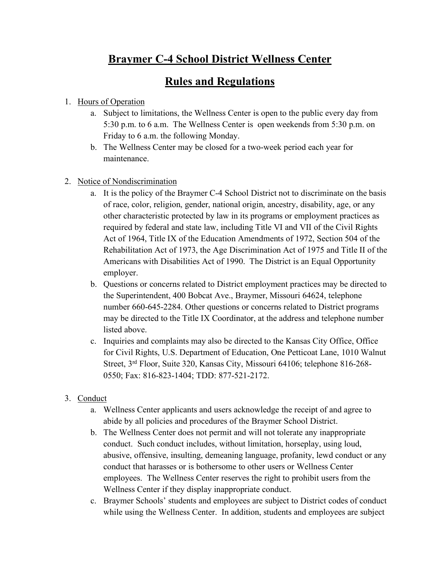## **Braymer C-4 School District Wellness Center**

## **Rules and Regulations**

## 1. Hours of Operation

- a. Subject to limitations, the Wellness Center is open to the public every day from 5:30 p.m. to 6 a.m. The Wellness Center is open weekends from 5:30 p.m. on Friday to 6 a.m. the following Monday.
- b. The Wellness Center may be closed for a two-week period each year for maintenance.
- 2. Notice of Nondiscrimination
	- a. It is the policy of the Braymer C-4 School District not to discriminate on the basis of race, color, religion, gender, national origin, ancestry, disability, age, or any other characteristic protected by law in its programs or employment practices as required by federal and state law, including Title VI and VII of the Civil Rights Act of 1964, Title IX of the Education Amendments of 1972, Section 504 of the Rehabilitation Act of 1973, the Age Discrimination Act of 1975 and Title II of the Americans with Disabilities Act of 1990. The District is an Equal Opportunity employer.
	- b. Questions or concerns related to District employment practices may be directed to the Superintendent, 400 Bobcat Ave., Braymer, Missouri 64624, telephone number 660-645-2284. Other questions or concerns related to District programs may be directed to the Title IX Coordinator, at the address and telephone number listed above.
	- c. Inquiries and complaints may also be directed to the Kansas City Office, Office for Civil Rights, U.S. Department of Education, One Petticoat Lane, 1010 Walnut Street, 3rd Floor, Suite 320, Kansas City, Missouri 64106; telephone 816-268- 0550; Fax: 816-823-1404; TDD: 877-521-2172.
- 3. Conduct
	- a. Wellness Center applicants and users acknowledge the receipt of and agree to abide by all policies and procedures of the Braymer School District.
	- b. The Wellness Center does not permit and will not tolerate any inappropriate conduct. Such conduct includes, without limitation, horseplay, using loud, abusive, offensive, insulting, demeaning language, profanity, lewd conduct or any conduct that harasses or is bothersome to other users or Wellness Center employees. The Wellness Center reserves the right to prohibit users from the Wellness Center if they display inappropriate conduct.
	- c. Braymer Schools' students and employees are subject to District codes of conduct while using the Wellness Center. In addition, students and employees are subject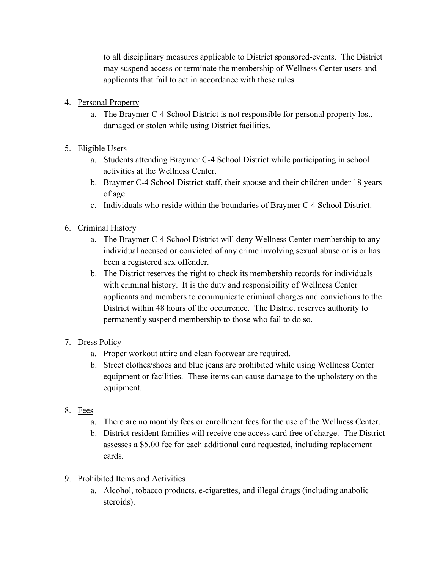to all disciplinary measures applicable to District sponsored-events. The District may suspend access or terminate the membership of Wellness Center users and applicants that fail to act in accordance with these rules.

- 4. Personal Property
	- a. The Braymer C-4 School District is not responsible for personal property lost, damaged or stolen while using District facilities.
- 5. Eligible Users
	- a. Students attending Braymer C-4 School District while participating in school activities at the Wellness Center.
	- b. Braymer C-4 School District staff, their spouse and their children under 18 years of age.
	- c. Individuals who reside within the boundaries of Braymer C-4 School District.
- 6. Criminal History
	- a. The Braymer C-4 School District will deny Wellness Center membership to any individual accused or convicted of any crime involving sexual abuse or is or has been a registered sex offender.
	- b. The District reserves the right to check its membership records for individuals with criminal history. It is the duty and responsibility of Wellness Center applicants and members to communicate criminal charges and convictions to the District within 48 hours of the occurrence. The District reserves authority to permanently suspend membership to those who fail to do so.
- 7. Dress Policy
	- a. Proper workout attire and clean footwear are required.
	- b. Street clothes/shoes and blue jeans are prohibited while using Wellness Center equipment or facilities. These items can cause damage to the upholstery on the equipment.
- 8. Fees
	- a. There are no monthly fees or enrollment fees for the use of the Wellness Center.
	- b. District resident families will receive one access card free of charge. The District assesses a \$5.00 fee for each additional card requested, including replacement cards.
- 9. Prohibited Items and Activities
	- a. Alcohol, tobacco products, e-cigarettes, and illegal drugs (including anabolic steroids).